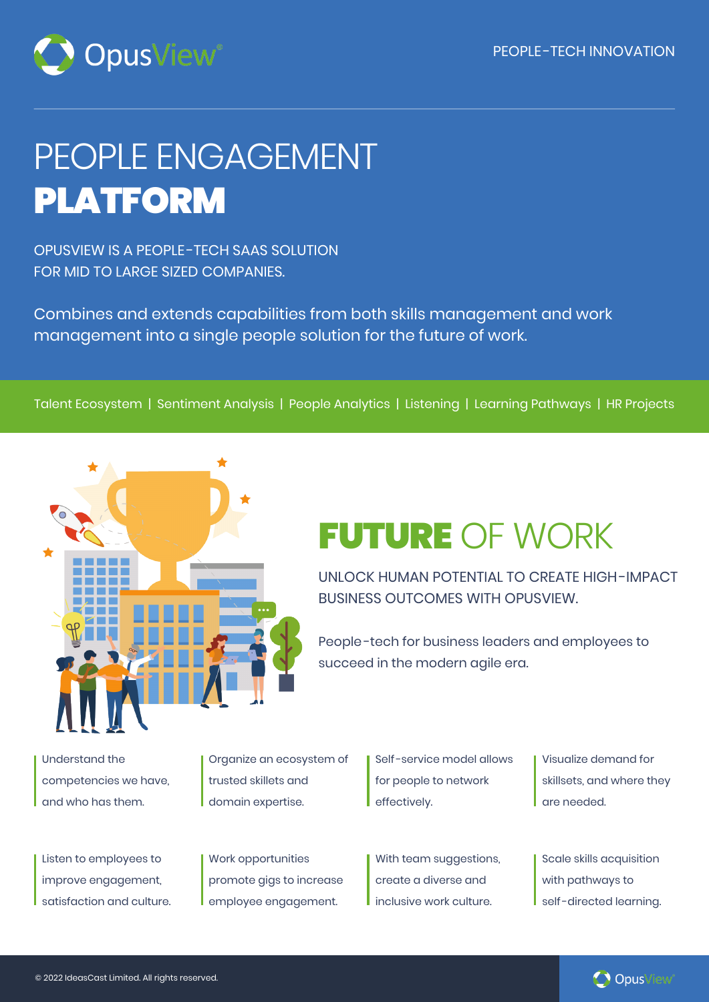

# PEOPLE ENGAGEMENT PLATFORM

OPUSVIEW IS A PEOPLE -TECH SAAS SOLUTION FOR MID TO LARGE SIZED COMPANIES.

Combines and extends capabilities from both skills management and work management into a single people solution for the future of work.

Talent Ecosystem | Sentiment Analysis | People Analytics | Listening | Learning Pathways | HR Projects



### FUTURE OF WORK

UNLOCK HUMAN POTENTIAL TO CREATE HIGH-IMPACT BUSINESS OUTCOMES WITH OPUSVIEW.

People -tech for business leaders and employees to succeed in the modern agile era.

Understand the competencies we have, and who has them.

Listen to employees to improve engagement, satisfaction and culture. Organize an ecosystem of trusted skillets and domain expertise.

Work opportunities promote gigs to increase employee engagement.

Self -service model allows for people to network effectively.

With team suggestions, create a diverse and inclusive work culture.

Visualize demand for skillsets, and where they are needed.

Scale skills acquisition with pathways to self-directed learning.